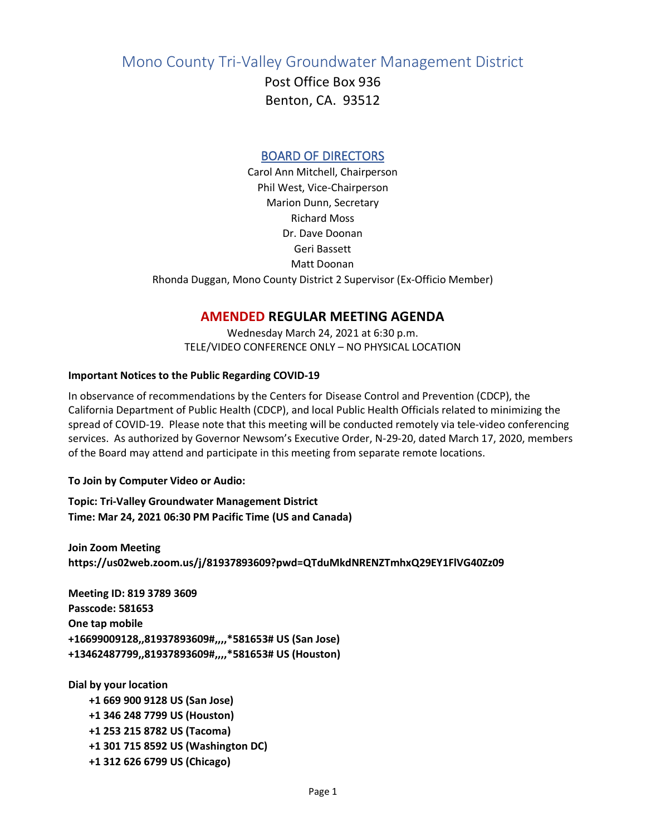Mono County Tri-Valley Groundwater Management District

Post Office Box 936 Benton, CA. 93512

## BOARD OF DIRECTORS

Carol Ann Mitchell, Chairperson Phil West, Vice-Chairperson Marion Dunn, Secretary Richard Moss Dr. Dave Doonan Geri Bassett Matt Doonan Rhonda Duggan, Mono County District 2 Supervisor (Ex-Officio Member)

## **AMENDED REGULAR MEETING AGENDA**

Wednesday March 24, 2021 at 6:30 p.m. TELE/VIDEO CONFERENCE ONLY – NO PHYSICAL LOCATION

## **Important Notices to the Public Regarding COVID-19**

In observance of recommendations by the Centers for Disease Control and Prevention (CDCP), the California Department of Public Health (CDCP), and local Public Health Officials related to minimizing the spread of COVID-19. Please note that this meeting will be conducted remotely via tele-video conferencing services. As authorized by Governor Newsom's Executive Order, N-29-20, dated March 17, 2020, members of the Board may attend and participate in this meeting from separate remote locations.

**To Join by Computer Video or Audio:**

**Topic: Tri-Valley Groundwater Management District Time: Mar 24, 2021 06:30 PM Pacific Time (US and Canada)**

**Join Zoom Meeting https://us02web.zoom.us/j/81937893609?pwd=QTduMkdNRENZTmhxQ29EY1FlVG40Zz09**

**Meeting ID: 819 3789 3609 Passcode: 581653 One tap mobile +16699009128,,81937893609#,,,,\*581653# US (San Jose) +13462487799,,81937893609#,,,,\*581653# US (Houston)**

**Dial by your location +1 669 900 9128 US (San Jose) +1 346 248 7799 US (Houston) +1 253 215 8782 US (Tacoma) +1 301 715 8592 US (Washington DC) +1 312 626 6799 US (Chicago)**